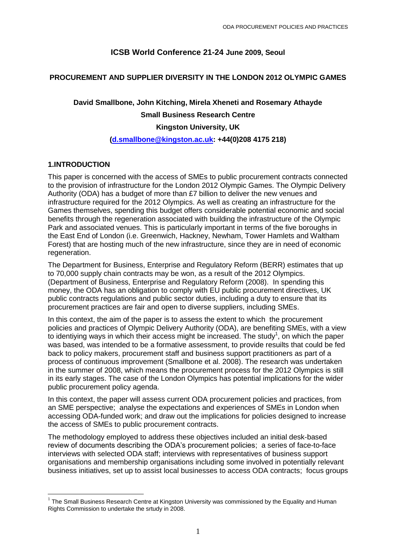# **ICSB World Conference 21-24 June 2009, Seoul**

## **PROCUREMENT AND SUPPLIER DIVERSITY IN THE LONDON 2012 OLYMPIC GAMES**

# **David Smallbone, John Kitching, Mirela Xheneti and Rosemary Athayde**

### **Small Business Research Centre**

### **Kingston University, UK**

### **[\(d.smallbone@kingston.ac.uk:](mailto:d.smallbone@kingston.ac.uk) +44(0)208 4175 218)**

## **1.INTRODUCTION**

**.** 

This paper is concerned with the access of SMEs to public procurement contracts connected to the provision of infrastructure for the London 2012 Olympic Games. The Olympic Delivery Authority (ODA) has a budget of more than £7 billion to deliver the new venues and infrastructure required for the 2012 Olympics. As well as creating an infrastructure for the Games themselves, spending this budget offers considerable potential economic and social benefits through the regeneration associated with building the infrastructure of the Olympic Park and associated venues. This is particularly important in terms of the five boroughs in the East End of London (i.e. Greenwich, Hackney, Newham, Tower Hamlets and Waltham Forest) that are hosting much of the new infrastructure, since they are in need of economic regeneration.

The Department for Business, Enterprise and Regulatory Reform (BERR) estimates that up to 70,000 supply chain contracts may be won, as a result of the 2012 Olympics. (Department of Business, Enterprise and Regulatory Reform (2008). In spending this money, the ODA has an obligation to comply with EU public procurement directives, UK public contracts regulations and public sector duties, including a duty to ensure that its procurement practices are fair and open to diverse suppliers, including SMEs.

In this context, the aim of the paper is to assess the extent to which the procurement policies and practices of Olympic Delivery Authority (ODA), are benefiting SMEs, with a view to identiying ways in which their access might be increased. The study<sup>1</sup>, on which the paper was based, was intended to be a formative assessment, to provide resuilts that could be fed back to policy makers, procurement staff and business support practitioners as part of a process of continuous improvement (Smallbone et al. 2008). The research was undertaken in the summer of 2008, which means the procurement process for the 2012 Olympics is still in its early stages. The case of the London Olympics has potential implications for the wider public procurement policy agenda.

In this context, the paper will assess current ODA procurement policies and practices, from an SME perspective; analyse the expectations and experiences of SMEs in London when accessing ODA-funded work; and draw out the implications for policies designed to increase the access of SMEs to public procurement contracts.

The methodology employed to address these objectives included an initial desk-based review of documents describing the ODA's procurement policies; a series of face-to-face interviews with selected ODA staff; interviews with representatives of business support organisations and membership organisations including some involved in potentially relevant business initiatives, set up to assist local businesses to access ODA contracts; focus groups

 $1$  The Small Business Research Centre at Kingston University was commissioned by the Equality and Human Rights Commission to undertake the srtudy in 2008.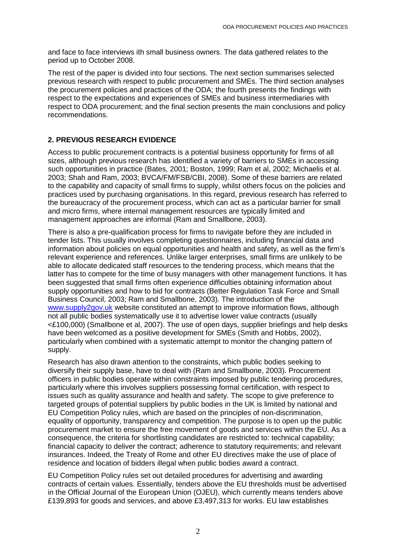and face to face interviews ith small business owners. The data gathered relates to the period up to October 2008.

The rest of the paper is divided into four sections. The next section summarises selected previous research with respect to public procurement and SMEs. The third section analyses the procurement policies and practices of the ODA; the fourth presents the findings with respect to the expectations and experiences of SMEs and business intermediaries with respect to ODA procurement; and the final section presents the main conclusions and policy recommendations.

## **2. PREVIOUS RESEARCH EVIDENCE**

Access to public procurement contracts is a potential business opportunity for firms of all sizes, although previous research has identified a variety of barriers to SMEs in accessing such opportunities in practice (Bates, 2001; Boston, 1999; Ram et al, 2002; Michaelis et al. 2003; Shah and Ram, 2003; BVCA/FM/FSB/CBI, 2008). Some of these barriers are related to the capability and capacity of small firms to supply, whilst others focus on the policies and practices used by purchasing organisations. In this regard, previous research has referred to the bureaucracy of the procurement process, which can act as a particular barrier for small and micro firms, where internal management resources are typically limited and management approaches are informal (Ram and Smallbone, 2003).

There is also a pre-qualification process for firms to navigate before they are included in tender lists. This usually involves completing questionnaires, including financial data and information about policies on equal opportunities and health and safety, as well as the firm's relevant experience and references. Unlike larger enterprises, small firms are unlikely to be able to allocate dedicated staff resources to the tendering process, which means that the latter has to compete for the time of busy managers with other management functions. It has been suggested that small firms often experience difficulties obtaining information about supply opportunities and how to bid for contracts (Better Regulation Task Force and Small Business Council, 2003; Ram and Smallbone, 2003). The introduction of the [www.supply2gov.uk](http://www.supply2gov.uk/) website constituted an attempt to improve information flows, although not all public bodies systematically use it to advertise lower value contracts (usually <£100,000) (Smallbone et al, 2007). The use of open days, supplier briefings and help desks have been welcomed as a positive development for SMEs (Smith and Hobbs, 2002), particularly when combined with a systematic attempt to monitor the changing pattern of supply.

Research has also drawn attention to the constraints, which public bodies seeking to diversify their supply base, have to deal with (Ram and Smallbone, 2003). Procurement officers in public bodies operate within constraints imposed by public tendering procedures, particularly where this involves suppliers possessing formal certification, with respect to issues such as quality assurance and health and safety. The scope to give preference to targeted groups of potential suppliers by public bodies in the UK is limited by national and EU Competition Policy rules, which are based on the principles of non-discrimination, equality of opportunity, transparency and competition. The purpose is to open up the public procurement market to ensure the free movement of goods and services within the EU. As a consequence, the criteria for shortlisting candidates are restricted to: technical capability; financial capacity to deliver the contract; adherence to statutory requirements; and relevant insurances. Indeed, the Treaty of Rome and other EU directives make the use of place of residence and location of bidders illegal when public bodies award a contract.

EU Competition Policy rules set out detailed procedures for advertising and awarding contracts of certain values. Essentially, tenders above the EU thresholds must be advertised in the Official Journal of the European Union (OJEU), which currently means tenders above £139,893 for goods and services, and above £3,497,313 for works. EU law establishes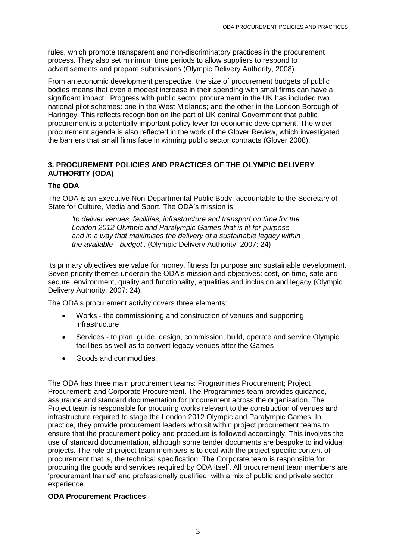rules, which promote transparent and non-discriminatory practices in the procurement process. They also set minimum time periods to allow suppliers to respond to advertisements and prepare submissions (Olympic Delivery Authority, 2008).

From an economic development perspective, the size of procurement budgets of public bodies means that even a modest increase in their spending with small firms can have a significant impact. Progress with public sector procurement in the UK has included two national pilot schemes: one in the West Midlands; and the other in the London Borough of Haringey. This reflects recognition on the part of UK central Government that public procurement is a potentially important policy lever for economic development. The wider procurement agenda is also reflected in the work of the Glover Review, which investigated the barriers that small firms face in winning public sector contracts (Glover 2008).

# **3. PROCUREMENT POLICIES AND PRACTICES OF THE OLYMPIC DELIVERY AUTHORITY (ODA)**

## **The ODA**

The ODA is an Executive Non-Departmental Public Body, accountable to the Secretary of State for Culture, Media and Sport. The ODA's mission is

*'to deliver venues, facilities, infrastructure and transport on time for the London 2012 Olympic and Paralympic Games that is fit for purpose and in a way that maximises the delivery of a sustainable legacy within the available budget'*. (Olympic Delivery Authority, 2007: 24)

Its primary objectives are value for money, fitness for purpose and sustainable development. Seven priority themes underpin the ODA's mission and objectives: cost, on time, safe and secure, environment, quality and functionality, equalities and inclusion and legacy (Olympic Delivery Authority, 2007: 24).

The ODA's procurement activity covers three elements:

- Works the commissioning and construction of venues and supporting infrastructure
- Services to plan, guide, design, commission, build, operate and service Olympic facilities as well as to convert legacy venues after the Games
- Goods and commodities.

The ODA has three main procurement teams: Programmes Procurement; Project Procurement; and Corporate Procurement. The Programmes team provides guidance, assurance and standard documentation for procurement across the organisation. The Project team is responsible for procuring works relevant to the construction of venues and infrastructure required to stage the London 2012 Olympic and Paralympic Games. In practice, they provide procurement leaders who sit within project procurement teams to ensure that the procurement policy and procedure is followed accordingly. This involves the use of standard documentation, although some tender documents are bespoke to individual projects. The role of project team members is to deal with the project specific content of procurement that is, the technical specification. The Corporate team is responsible for procuring the goods and services required by ODA itself. All procurement team members are 'procurement trained' and professionally qualified, with a mix of public and private sector experience.

### **ODA Procurement Practices**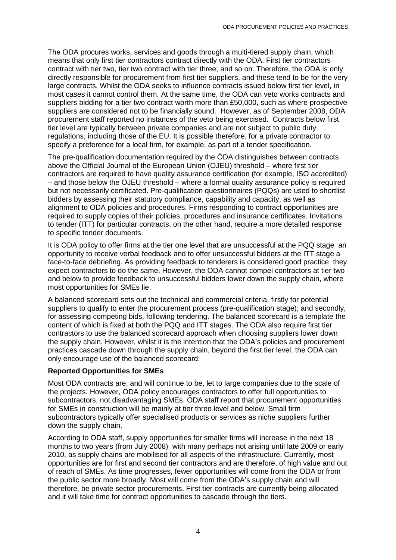The ODA procures works, services and goods through a multi-tiered supply chain, which means that only first tier contractors contract directly with the ODA. First tier contractors contract with tier two, tier two contract with tier three, and so on. Therefore, the ODA is only directly responsible for procurement from first tier suppliers, and these tend to be for the very large contracts. Whilst the ODA seeks to influence contracts issued below first tier level, in most cases it cannot control them. At the same time, the ODA can veto works contracts and suppliers bidding for a tier two contract worth more than £50,000, such as where prospective suppliers are considered not to be financially sound. However, as of September 2008, ODA procurement staff reported no instances of the veto being exercised. Contracts below first tier level are typically between private companies and are not subject to public duty regulations, including those of the EU. It is possible therefore, for a private contractor to specify a preference for a local firm, for example, as part of a tender specification.

The pre-qualification documentation required by the ÒDA distinguishes between contracts above the Official Journal of the European Union (OJEU) threshold – where first tier contractors are required to have quality assurance certification (for example, ISO accredited) – and those below the OJEU threshold – where a formal quality assurance policy is required but not necessarily certificated. Pre-qualification questionnaires (PQQs) are used to shortlist bidders by assessing their statutory compliance, capability and capacity, as well as alignment to ODA policies and procedures. Firms responding to contract opportunities are required to supply copies of their policies, procedures and insurance certificates. Invitations to tender (ITT) for particular contracts, on the other hand, require a more detailed response to specific tender documents.

It is ODA policy to offer firms at the tier one level that are unsuccessful at the PQQ stage an opportunity to receive verbal feedback and to offer unsuccessful bidders at the ITT stage a face-to-face debriefing. As providing feedback to tenderers is considered good practice, they expect contractors to do the same. However, the ODA cannot compel contractors at tier two and below to provide feedback to unsuccessful bidders lower down the supply chain, where most opportunities for SMEs lie.

A balanced scorecard sets out the technical and commercial criteria, firstly for potential suppliers to qualify to enter the procurement process (pre-qualification stage); and secondly, for assessing competing bids, following tendering. The balanced scorecard is a template the content of which is fixed at both the PQQ and ITT stages. The ODA also require first tier contractors to use the balanced scorecard approach when choosing suppliers lower down the supply chain. However, whilst it is the intention that the ODA's policies and procurement practices cascade down through the supply chain, beyond the first tier level, the ODA can only encourage use of the balanced scorecard.

### **Reported Opportunities for SMEs**

Most ODA contracts are, and will continue to be, let to large companies due to the scale of the projects. However, ODA policy encourages contractors to offer full opportunities to subcontractors, not disadvantaging SMEs. ODA staff report that procurement opportunities for SMEs in construction will be mainly at tier three level and below. Small firm subcontractors typically offer specialised products or services as niche suppliers further down the supply chain.

According to ODA staff, supply opportunities for smaller firms will increase in the next 18 months to two years (from July 2008) with many perhaps not arising until late 2009 or early 2010, as supply chains are mobilised for all aspects of the infrastructure. Currently, most opportunities are for first and second tier contractors and are therefore, of high value and out of reach of SMEs. As time progresses, fewer opportunities will come from the ODA or from the public sector more broadly. Most will come from the ODA's supply chain and will therefore, be private sector procurements. First tier contracts are currently being allocated and it will take time for contract opportunities to cascade through the tiers.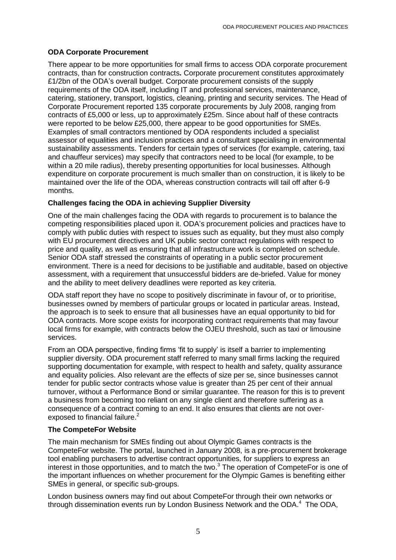## **ODA Corporate Procurement**

There appear to be more opportunities for small firms to access ODA corporate procurement contracts, than for construction contracts*.* Corporate procurement constitutes approximately £1/2bn of the ODA's overall budget. Corporate procurement consists of the supply requirements of the ODA itself, including IT and professional services, maintenance, catering, stationery, transport, logistics, cleaning, printing and security services. The Head of Corporate Procurement reported 135 corporate procurements by July 2008, ranging from contracts of £5,000 or less, up to approximately £25m. Since about half of these contracts were reported to be below £25,000, there appear to be good opportunities for SMEs. Examples of small contractors mentioned by ODA respondents included a specialist assessor of equalities and inclusion practices and a consultant specialising in environmental sustainability assessments. Tenders for certain types of services (for example, catering, taxi and chauffeur services) may specify that contractors need to be local (for example, to be within a 20 mile radius), thereby presenting opportunities for local businesses. Although expenditure on corporate procurement is much smaller than on construction, it is likely to be maintained over the life of the ODA, whereas construction contracts will tail off after 6-9 months.

## **Challenges facing the ODA in achieving Supplier Diversity**

One of the main challenges facing the ODA with regards to procurement is to balance the competing responsibilities placed upon it. ODA's procurement policies and practices have to comply with public duties with respect to issues such as equality, but they must also comply with EU procurement directives and UK public sector contract regulations with respect to price and quality, as well as ensuring that all infrastructure work is completed on schedule. Senior ODA staff stressed the constraints of operating in a public sector procurement environment. There is a need for decisions to be justifiable and auditable, based on objective assessment, with a requirement that unsuccessful bidders are de-briefed. Value for money and the ability to meet delivery deadlines were reported as key criteria.

ODA staff report they have no scope to positively discriminate in favour of, or to prioritise, businesses owned by members of particular groups or located in particular areas. Instead, the approach is to seek to ensure that all businesses have an equal opportunity to bid for ODA contracts. More scope exists for incorporating contract requirements that may favour local firms for example, with contracts below the OJEU threshold, such as taxi or limousine services.

From an ODA perspective, finding firms 'fit to supply' is itself a barrier to implementing supplier diversity. ODA procurement staff referred to many small firms lacking the required supporting documentation for example, with respect to health and safety, quality assurance and equality policies. Also relevant are the effects of size per se, since businesses cannot tender for public sector contracts whose value is greater than 25 per cent of their annual turnover, without a Performance Bond or similar guarantee. The reason for this is to prevent a business from becoming too reliant on any single client and therefore suffering as a consequence of a contract coming to an end. It also ensures that clients are not overexposed to financial failure.<sup>2</sup>

### **The CompeteFor Website**

The main mechanism for SMEs finding out about Olympic Games contracts is the CompeteFor website. The portal, launched in January 2008, is a pre-procurement brokerage tool enabling purchasers to advertise contract opportunities, for suppliers to express an interest in those opportunities, and to match the two.<sup>3</sup> The operation of CompeteFor is one of the important influences on whether procurement for the Olympic Games is benefiting either SMEs in general, or specific sub-groups.

London business owners may find out about CompeteFor through their own networks or through dissemination events run by London Business Network and the ODA.<sup>4</sup> The ODA,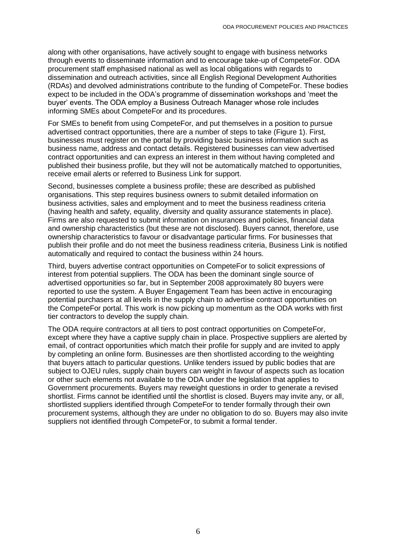along with other organisations, have actively sought to engage with business networks through events to disseminate information and to encourage take-up of CompeteFor. ODA procurement staff emphasised national as well as local obligations with regards to dissemination and outreach activities, since all English Regional Development Authorities (RDAs) and devolved administrations contribute to the funding of CompeteFor. These bodies expect to be included in the ODA's programme of dissemination workshops and 'meet the buyer' events. The ODA employ a Business Outreach Manager whose role includes informing SMEs about CompeteFor and its procedures.

For SMEs to benefit from using CompeteFor, and put themselves in a position to pursue advertised contract opportunities, there are a number of steps to take (Figure 1). First, businesses must register on the portal by providing basic business information such as business name, address and contact details. Registered businesses can view advertised contract opportunities and can express an interest in them without having completed and published their business profile, but they will not be automatically matched to opportunities, receive email alerts or referred to Business Link for support.

Second, businesses complete a business profile; these are described as published organisations. This step requires business owners to submit detailed information on business activities, sales and employment and to meet the business readiness criteria (having health and safety, equality, diversity and quality assurance statements in place). Firms are also requested to submit information on insurances and policies, financial data and ownership characteristics (but these are not disclosed). Buyers cannot, therefore, use ownership characteristics to favour or disadvantage particular firms. For businesses that publish their profile and do not meet the business readiness criteria, Business Link is notified automatically and required to contact the business within 24 hours.

Third, buyers advertise contract opportunities on CompeteFor to solicit expressions of interest from potential suppliers. The ODA has been the dominant single source of advertised opportunities so far, but in September 2008 approximately 80 buyers were reported to use the system. A Buyer Engagement Team has been active in encouraging potential purchasers at all levels in the supply chain to advertise contract opportunities on the CompeteFor portal. This work is now picking up momentum as the ODA works with first tier contractors to develop the supply chain.

The ODA require contractors at all tiers to post contract opportunities on CompeteFor, except where they have a captive supply chain in place. Prospective suppliers are alerted by email, of contract opportunities which match their profile for supply and are invited to apply by completing an online form. Businesses are then shortlisted according to the weighting that buyers attach to particular questions. Unlike tenders issued by public bodies that are subject to OJEU rules, supply chain buyers can weight in favour of aspects such as location or other such elements not available to the ODA under the legislation that applies to Government procurements. Buyers may reweight questions in order to generate a revised shortlist. Firms cannot be identified until the shortlist is closed. Buyers may invite any, or all, shortlisted suppliers identified through CompeteFor to tender formally through their own procurement systems, although they are under no obligation to do so. Buyers may also invite suppliers not identified through CompeteFor, to submit a formal tender.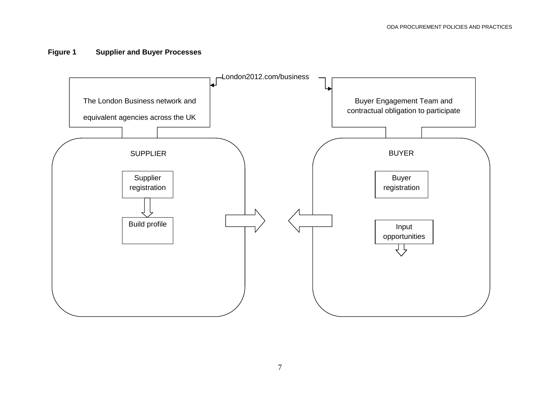# **Figure 1 Supplier and Buyer Processes**

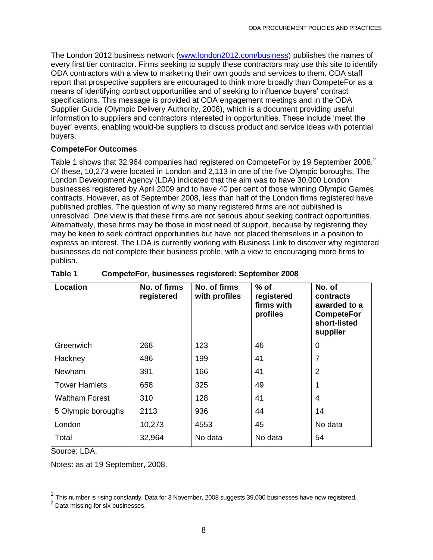The London 2012 business network [\(www.london2012.com/business\)](http://www.london2012.com/business) publishes the names of every first tier contractor. Firms seeking to supply these contractors may use this site to identify ODA contractors with a view to marketing their own goods and services to them. ODA staff report that prospective suppliers are encouraged to think more broadly than CompeteFor as a means of identifying contract opportunities and of seeking to influence buyers' contract specifications. This message is provided at ODA engagement meetings and in the ODA Supplier Guide (Olympic Delivery Authority, 2008), which is a document providing useful information to suppliers and contractors interested in opportunities. These include 'meet the buyer' events, enabling would-be suppliers to discuss product and service ideas with potential buyers.

## **CompeteFor Outcomes**

Table 1 shows that 32,964 companies had registered on CompeteFor by 19 September 2008.<sup>2</sup> Of these, 10,273 were located in London and 2,113 in one of the five Olympic boroughs. The London Development Agency (LDA) indicated that the aim was to have 30,000 London businesses registered by April 2009 and to have 40 per cent of those winning Olympic Games contracts. However, as of September 2008, less than half of the London firms registered have published profiles. The question of why so many registered firms are not published is unresolved. One view is that these firms are not serious about seeking contract opportunities. Alternatively, these firms may be those in most need of support, because by registering they may be keen to seek contract opportunities but have not placed themselves in a position to express an interest. The LDA is currently working with Business Link to discover why registered businesses do not complete their business profile, with a view to encouraging more firms to publish.

| Location              | No. of firms<br>registered | No. of firms<br>with profiles | $%$ of<br>registered<br>firms with<br>profiles | No. of<br>contracts<br>awarded to a<br><b>CompeteFor</b><br>short-listed<br>supplier |
|-----------------------|----------------------------|-------------------------------|------------------------------------------------|--------------------------------------------------------------------------------------|
| Greenwich             | 268                        | 123                           | 46                                             | $\mathbf 0$                                                                          |
| Hackney               | 486                        | 199                           | 41                                             | $\overline{7}$                                                                       |
| Newham                | 391                        | 166                           | 41                                             | 2                                                                                    |
| <b>Tower Hamlets</b>  | 658                        | 325                           | 49                                             |                                                                                      |
| <b>Waltham Forest</b> | 310                        | 128                           | 41                                             | 4                                                                                    |
| 5 Olympic boroughs    | 2113                       | 936                           | 44                                             | 14                                                                                   |
| London                | 10,273                     | 4553                          | 45                                             | No data                                                                              |
| Total                 | 32,964                     | No data                       | No data                                        | 54                                                                                   |

## **Table 1 CompeteFor, businesses registered: September 2008**

Source: LDA.

Notes: as at 19 September, 2008.

 $\frac{2}{\pi}$ This number is rising constantly. Data for 3 November, 2008 suggests 39,000 businesses have now registered.

<sup>&</sup>lt;sup>2</sup> Data missing for six businesses.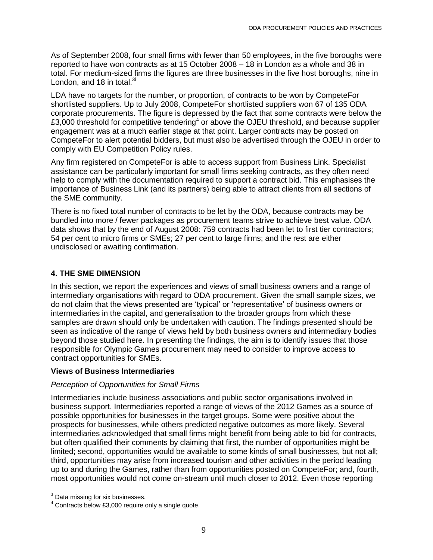As of September 2008, four small firms with fewer than 50 employees, in the five boroughs were reported to have won contracts as at 15 October 2008 – 18 in London as a whole and 38 in total. For medium-sized firms the figures are three businesses in the five host boroughs, nine in London, and 18 in total. $3i$ 

LDA have no targets for the number, or proportion, of contracts to be won by CompeteFor shortlisted suppliers. Up to July 2008, CompeteFor shortlisted suppliers won 67 of 135 ODA corporate procurements. The figure is depressed by the fact that some contracts were below the £3,000 threshold for competitive tendering<sup>4</sup> or above the OJEU threshold, and because supplier engagement was at a much earlier stage at that point. Larger contracts may be posted on CompeteFor to alert potential bidders, but must also be advertised through the OJEU in order to comply with EU Competition Policy rules.

Any firm registered on CompeteFor is able to access support from Business Link. Specialist assistance can be particularly important for small firms seeking contracts, as they often need help to comply with the documentation required to support a contract bid. This emphasises the importance of Business Link (and its partners) being able to attract clients from all sections of the SME community.

There is no fixed total number of contracts to be let by the ODA, because contracts may be bundled into more / fewer packages as procurement teams strive to achieve best value. ODA data shows that by the end of August 2008: 759 contracts had been let to first tier contractors; 54 per cent to micro firms or SMEs; 27 per cent to large firms; and the rest are either undisclosed or awaiting confirmation.

## **4. THE SME DIMENSION**

In this section, we report the experiences and views of small business owners and a range of intermediary organisations with regard to ODA procurement. Given the small sample sizes, we do not claim that the views presented are 'typical' or 'representative' of business owners or intermediaries in the capital, and generalisation to the broader groups from which these samples are drawn should only be undertaken with caution. The findings presented should be seen as indicative of the range of views held by both business owners and intermediary bodies beyond those studied here. In presenting the findings, the aim is to identify issues that those responsible for Olympic Games procurement may need to consider to improve access to contract opportunities for SMEs.

## **Views of Business Intermediaries**

## *Perception of Opportunities for Small Firms*

Intermediaries include business associations and public sector organisations involved in business support. Intermediaries reported a range of views of the 2012 Games as a source of possible opportunities for businesses in the target groups. Some were positive about the prospects for businesses, while others predicted negative outcomes as more likely. Several intermediaries acknowledged that small firms might benefit from being able to bid for contracts, but often qualified their comments by claiming that first, the number of opportunities might be limited; second, opportunities would be available to some kinds of small businesses, but not all; third, opportunities may arise from increased tourism and other activities in the period leading up to and during the Games, rather than from opportunities posted on CompeteFor; and, fourth, most opportunities would not come on-stream until much closer to 2012. Even those reporting

 $\overline{\phantom{a}}$ 

 $3$  Data missing for six businesses.

 $4$  Contracts below £3,000 require only a single quote.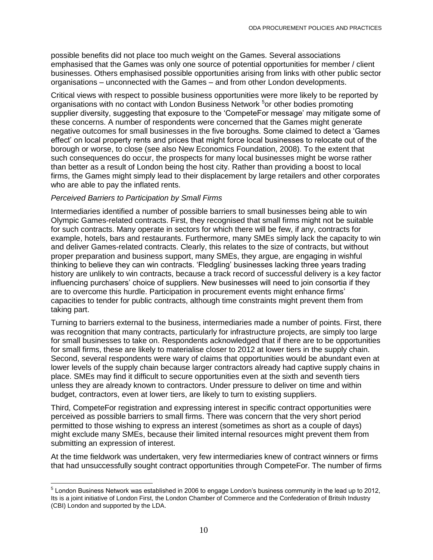possible benefits did not place too much weight on the Games. Several associations emphasised that the Games was only one source of potential opportunities for member / client businesses. Others emphasised possible opportunities arising from links with other public sector organisations – unconnected with the Games – and from other London developments.

Critical views with respect to possible business opportunities were more likely to be reported by organisations with no contact with London Business Network <sup>5</sup>or other bodies promoting supplier diversity, suggesting that exposure to the 'CompeteFor message' may mitigate some of these concerns. A number of respondents were concerned that the Games might generate negative outcomes for small businesses in the five boroughs. Some claimed to detect a 'Games effect' on local property rents and prices that might force local businesses to relocate out of the borough or worse, to close (see also New Economics Foundation, 2008). To the extent that such consequences do occur, the prospects for many local businesses might be worse rather than better as a result of London being the host city. Rather than providing a boost to local firms, the Games might simply lead to their displacement by large retailers and other corporates who are able to pay the inflated rents.

### *Perceived Barriers to Participation by Small Firms*

l

Intermediaries identified a number of possible barriers to small businesses being able to win Olympic Games-related contracts. First, they recognised that small firms might not be suitable for such contracts. Many operate in sectors for which there will be few, if any, contracts for example, hotels, bars and restaurants. Furthermore, many SMEs simply lack the capacity to win and deliver Games-related contracts. Clearly, this relates to the size of contracts, but without proper preparation and business support, many SMEs, they argue, are engaging in wishful thinking to believe they can win contracts. 'Fledgling' businesses lacking three years trading history are unlikely to win contracts, because a track record of successful delivery is a key factor influencing purchasers' choice of suppliers. New businesses will need to join consortia if they are to overcome this hurdle. Participation in procurement events might enhance firms' capacities to tender for public contracts, although time constraints might prevent them from taking part.

Turning to barriers external to the business, intermediaries made a number of points. First, there was recognition that many contracts, particularly for infrastructure projects, are simply too large for small businesses to take on. Respondents acknowledged that if there are to be opportunities for small firms, these are likely to materialise closer to 2012 at lower tiers in the supply chain. Second, several respondents were wary of claims that opportunities would be abundant even at lower levels of the supply chain because larger contractors already had captive supply chains in place. SMEs may find it difficult to secure opportunities even at the sixth and seventh tiers unless they are already known to contractors. Under pressure to deliver on time and within budget, contractors, even at lower tiers, are likely to turn to existing suppliers.

Third, CompeteFor registration and expressing interest in specific contract opportunities were perceived as possible barriers to small firms. There was concern that the very short period permitted to those wishing to express an interest (sometimes as short as a couple of days) might exclude many SMEs, because their limited internal resources might prevent them from submitting an expression of interest.

At the time fieldwork was undertaken, very few intermediaries knew of contract winners or firms that had unsuccessfully sought contract opportunities through CompeteFor. The number of firms

<sup>&</sup>lt;sup>5</sup> London Business Network was established in 2006 to engage London's business community in the lead up to 2012, Its is a joint initiative of London First, the London Chamber of Commerce and the Confederation of Britsih Industry (CBI) London and supported by the LDA.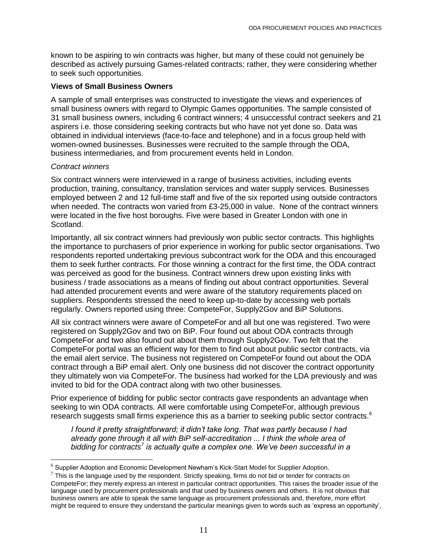known to be aspiring to win contracts was higher, but many of these could not genuinely be described as actively pursuing Games-related contracts; rather, they were considering whether to seek such opportunities.

### **Views of Small Business Owners**

A sample of small enterprises was constructed to investigate the views and experiences of small business owners with regard to Olympic Games opportunities. The sample consisted of 31 small business owners, including 6 contract winners; 4 unsuccessful contract seekers and 21 aspirers i.e. those considering seeking contracts but who have not yet done so. Data was obtained in individual interviews (face-to-face and telephone) and in a focus group held with women-owned businesses. Businesses were recruited to the sample through the ODA, business intermediaries, and from procurement events held in London.

### *Contract winners*

 $\overline{\phantom{a}}$ 

Six contract winners were interviewed in a range of business activities, including events production, training, consultancy, translation services and water supply services. Businesses employed between 2 and 12 full-time staff and five of the six reported using outside contractors when needed. The contracts won varied from £3-25,000 in value. None of the contract winners were located in the five host boroughs. Five were based in Greater London with one in Scotland.

Importantly, all six contract winners had previously won public sector contracts. This highlights the importance to purchasers of prior experience in working for public sector organisations. Two respondents reported undertaking previous subcontract work for the ODA and this encouraged them to seek further contracts. For those winning a contract for the first time, the ODA contract was perceived as good for the business. Contract winners drew upon existing links with business / trade associations as a means of finding out about contract opportunities. Several had attended procurement events and were aware of the statutory requirements placed on suppliers. Respondents stressed the need to keep up-to-date by accessing web portals regularly. Owners reported using three: CompeteFor, Supply2Gov and BiP Solutions.

All six contract winners were aware of CompeteFor and all but one was registered. Two were registered on Supply2Gov and two on BiP. Four found out about ODA contracts through CompeteFor and two also found out about them through Supply2Gov. Two felt that the CompeteFor portal was an efficient way for them to find out about public sector contracts, via the email alert service. The business not registered on CompeteFor found out about the ODA contract through a BiP email alert. Only one business did not discover the contract opportunity they ultimately won via CompeteFor. The business had worked for the LDA previously and was invited to bid for the ODA contract along with two other businesses.

Prior experience of bidding for public sector contracts gave respondents an advantage when seeking to win ODA contracts. All were comfortable using CompeteFor, although previous research suggests small firms experience this as a barrier to seeking public sector contracts.<sup>6</sup>

*I found it pretty straightforward; it didn't take long. That was partly because I had already gone through it all with BiP self-accreditation ... I think the whole area of bidding for contracts<sup>7</sup> is actually quite a complex one. We've been successful in a* 

 $<sup>6</sup>$  Supplier Adoption and Economic Development Newham's Kick-Start Model for Supplier Adoption.</sup>

 $^7$  This is the language used by the respondent. Strictly speaking, firms do not bid or tender for contracts on CompeteFor; they merely express an interest in particular contract opportunities. This raises the broader issue of the language used by procurement professionals and that used by business owners and others. It is not obvious that business owners are able to speak the same language as procurement professionals and, therefore, more effort might be required to ensure they understand the particular meanings given to words such as 'express an opportunity',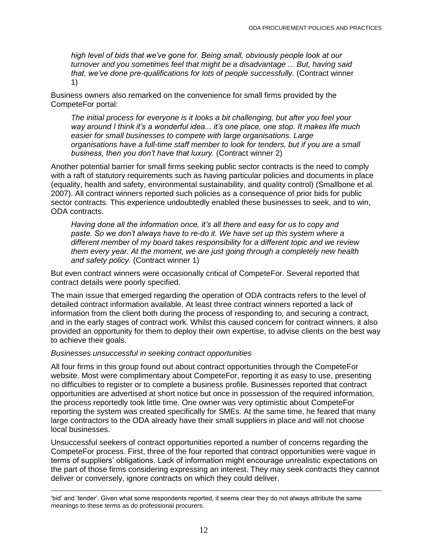*high level of bids that we've gone for. Being small, obviously people look at our turnover and you sometimes feel that might be a disadvantage ... But, having said that, we've done pre-qualifications for lots of people successfully.* (Contract winner 1)

Business owners also remarked on the convenience for small firms provided by the CompeteFor portal:

*The initial process for everyone is it looks a bit challenging, but after you feel your way around I think it's a wonderful idea... it's one place, one stop. It makes life much easier for small businesses to compete with large organisations. Large organisations have a full-time staff member to look for tenders, but if you are a small business, then you don't have that luxury.* (Contract winner 2)

Another potential barrier for small firms seeking public sector contracts is the need to comply with a raft of statutory requirements such as having particular policies and documents in place (equality, health and safety, environmental sustainability, and quality control) (Smallbone et al. 2007). All contract winners reported such policies as a consequence of prior bids for public sector contracts. This experience undoubtedly enabled these businesses to seek, and to win, ODA contracts.

*Having done all the information once, it's all there and easy for us to copy and paste. So we don't always have to re-do it. We have set up this system where a different member of my board takes responsibility for a different topic and we review them every year. At the moment, we are just going through a completely new health and safety policy.* (Contract winner 1)

But even contract winners were occasionally critical of CompeteFor. Several reported that contract details were poorly specified.

The main issue that emerged regarding the operation of ODA contracts refers to the level of detailed contract information available. At least three contract winners reported a lack of information from the client both during the process of responding to, and securing a contract, and in the early stages of contract work. Whilst this caused concern for contract winners, it also provided an opportunity for them to deploy their own expertise, to advise clients on the best way to achieve their goals.

#### *Businesses unsuccessful in seeking contract opportunities*

All four firms in this group found out about contract opportunities through the CompeteFor website. Most were complimentary about CompeteFor, reporting it as easy to use, presenting no difficulties to register or to complete a business profile. Businesses reported that contract opportunities are advertised at short notice but once in possession of the required information, the process reportedly took little time. One owner was very optimistic about CompeteFor reporting the system was created specifically for SMEs. At the same time, he feared that many large contractors to the ODA already have their small suppliers in place and will not choose local businesses.

Unsuccessful seekers of contract opportunities reported a number of concerns regarding the CompeteFor process. First, three of the four reported that contract opportunities were vague in terms of suppliers' obligations. Lack of information might encourage unrealistic expectations on the part of those firms considering expressing an interest. They may seek contracts they cannot deliver or conversely, ignore contracts on which they could deliver.

 $\overline{a}$ 'bid' and 'tender'. Given what some respondents reported, it seems clear they do not always attribute the same meanings to these terms as do professional procurers.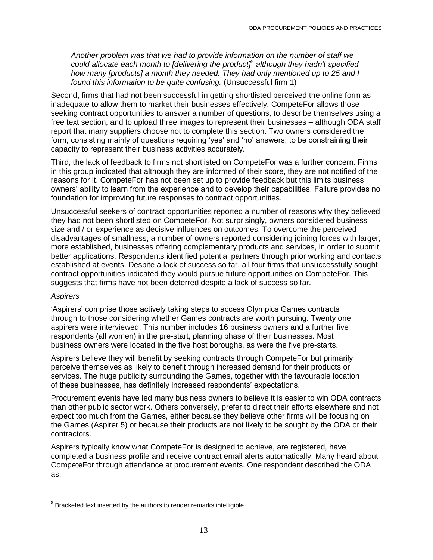*Another problem was that we had to provide information on the number of staff we could allocate each month to [delivering the product]<sup>8</sup> although they hadn't specified how many [products] a month they needed. They had only mentioned up to 25 and I found this information to be quite confusing.* (Unsuccessful firm 1)

Second, firms that had not been successful in getting shortlisted perceived the online form as inadequate to allow them to market their businesses effectively. CompeteFor allows those seeking contract opportunities to answer a number of questions, to describe themselves using a free text section, and to upload three images to represent their businesses – although ODA staff report that many suppliers choose not to complete this section. Two owners considered the form, consisting mainly of questions requiring 'yes' and 'no' answers, to be constraining their capacity to represent their business activities accurately.

Third, the lack of feedback to firms not shortlisted on CompeteFor was a further concern. Firms in this group indicated that although they are informed of their score, they are not notified of the reasons for it. CompeteFor has not been set up to provide feedback but this limits business owners' ability to learn from the experience and to develop their capabilities. Failure provides no foundation for improving future responses to contract opportunities.

Unsuccessful seekers of contract opportunities reported a number of reasons why they believed they had not been shortlisted on CompeteFor. Not surprisingly, owners considered business size and / or experience as decisive influences on outcomes. To overcome the perceived disadvantages of smallness, a number of owners reported considering joining forces with larger, more established, businesses offering complementary products and services, in order to submit better applications. Respondents identified potential partners through prior working and contacts established at events. Despite a lack of success so far, all four firms that unsuccessfully sought contract opportunities indicated they would pursue future opportunities on CompeteFor. This suggests that firms have not been deterred despite a lack of success so far.

#### *Aspirers*

 $\overline{\phantom{a}}$ 

'Aspirers' comprise those actively taking steps to access Olympics Games contracts through to those considering whether Games contracts are worth pursuing. Twenty one aspirers were interviewed. This number includes 16 business owners and a further five respondents (all women) in the pre-start, planning phase of their businesses. Most business owners were located in the five host boroughs, as were the five pre-starts.

Aspirers believe they will benefit by seeking contracts through CompeteFor but primarily perceive themselves as likely to benefit through increased demand for their products or services. The huge publicity surrounding the Games, together with the favourable location of these businesses, has definitely increased respondents' expectations.

Procurement events have led many business owners to believe it is easier to win ODA contracts than other public sector work. Others conversely, prefer to direct their efforts elsewhere and not expect too much from the Games, either because they believe other firms will be focusing on the Games (Aspirer 5) or because their products are not likely to be sought by the ODA or their contractors.

Aspirers typically know what CompeteFor is designed to achieve, are registered, have completed a business profile and receive contract email alerts automatically. Many heard about CompeteFor through attendance at procurement events. One respondent described the ODA as:

 $8$  Bracketed text inserted by the authors to render remarks intelligible.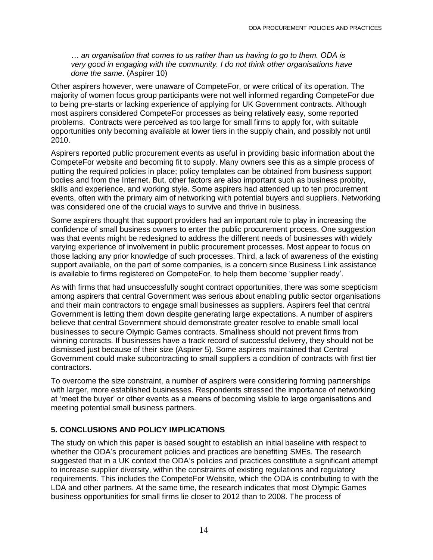*… an organisation that comes to us rather than us having to go to them. ODA is very good in engaging with the community. I do not think other organisations have done the same*. (Aspirer 10)

Other aspirers however, were unaware of CompeteFor, or were critical of its operation. The majority of women focus group participants were not well informed regarding CompeteFor due to being pre-starts or lacking experience of applying for UK Government contracts. Although most aspirers considered CompeteFor processes as being relatively easy, some reported problems. Contracts were perceived as too large for small firms to apply for, with suitable opportunities only becoming available at lower tiers in the supply chain, and possibly not until 2010.

Aspirers reported public procurement events as useful in providing basic information about the CompeteFor website and becoming fit to supply. Many owners see this as a simple process of putting the required policies in place; policy templates can be obtained from business support bodies and from the Internet. But, other factors are also important such as business probity, skills and experience, and working style. Some aspirers had attended up to ten procurement events, often with the primary aim of networking with potential buyers and suppliers. Networking was considered one of the crucial ways to survive and thrive in business.

Some aspirers thought that support providers had an important role to play in increasing the confidence of small business owners to enter the public procurement process. One suggestion was that events might be redesigned to address the different needs of businesses with widely varying experience of involvement in public procurement processes. Most appear to focus on those lacking any prior knowledge of such processes. Third, a lack of awareness of the existing support available, on the part of some companies, is a concern since Business Link assistance is available to firms registered on CompeteFor, to help them become 'supplier ready'.

As with firms that had unsuccessfully sought contract opportunities, there was some scepticism among aspirers that central Government was serious about enabling public sector organisations and their main contractors to engage small businesses as suppliers. Aspirers feel that central Government is letting them down despite generating large expectations. A number of aspirers believe that central Government should demonstrate greater resolve to enable small local businesses to secure Olympic Games contracts. Smallness should not prevent firms from winning contracts. If businesses have a track record of successful delivery, they should not be dismissed just because of their size (Aspirer 5). Some aspirers maintained that Central Government could make subcontracting to small suppliers a condition of contracts with first tier contractors.

To overcome the size constraint, a number of aspirers were considering forming partnerships with larger, more established businesses. Respondents stressed the importance of networking at 'meet the buyer' or other events as a means of becoming visible to large organisations and meeting potential small business partners.

## **5. CONCLUSIONS AND POLICY IMPLICATIONS**

The study on which this paper is based sought to establish an initial baseline with respect to whether the ODA's procurement policies and practices are benefiting SMEs. The research suggested that in a UK context the ODA's policies and practices constitute a significant attempt to increase supplier diversity, within the constraints of existing regulations and regulatory requirements. This includes the CompeteFor Website, which the ODA is contributing to with the LDA and other partners. At the same time, the research indicates that most Olympic Games business opportunities for small firms lie closer to 2012 than to 2008. The process of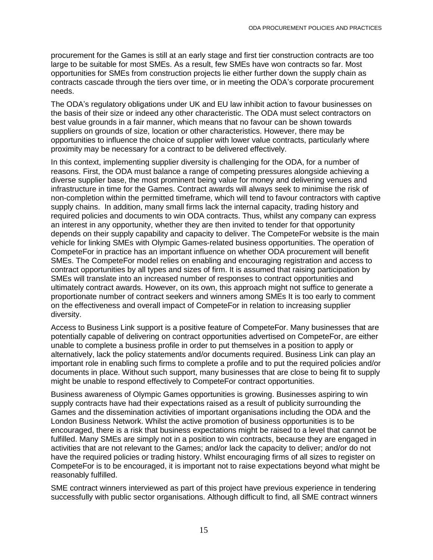procurement for the Games is still at an early stage and first tier construction contracts are too large to be suitable for most SMEs. As a result, few SMEs have won contracts so far. Most opportunities for SMEs from construction projects lie either further down the supply chain as contracts cascade through the tiers over time, or in meeting the ODA's corporate procurement needs.

The ODA's regulatory obligations under UK and EU law inhibit action to favour businesses on the basis of their size or indeed any other characteristic. The ODA must select contractors on best value grounds in a fair manner, which means that no favour can be shown towards suppliers on grounds of size, location or other characteristics. However, there may be opportunities to influence the choice of supplier with lower value contracts, particularly where proximity may be necessary for a contract to be delivered effectively.

In this context, implementing supplier diversity is challenging for the ODA, for a number of reasons. First, the ODA must balance a range of competing pressures alongside achieving a diverse supplier base, the most prominent being value for money and delivering venues and infrastructure in time for the Games. Contract awards will always seek to minimise the risk of non-completion within the permitted timeframe, which will tend to favour contractors with captive supply chains. In addition, many small firms lack the internal capacity, trading history and required policies and documents to win ODA contracts. Thus, whilst any company can express an interest in any opportunity, whether they are then invited to tender for that opportunity depends on their supply capability and capacity to deliver. The CompeteFor website is the main vehicle for linking SMEs with Olympic Games-related business opportunities. The operation of CompeteFor in practice has an important influence on whether ODA procurement will benefit SMEs. The CompeteFor model relies on enabling and encouraging registration and access to contract opportunities by all types and sizes of firm. It is assumed that raising participation by SMEs will translate into an increased number of responses to contract opportunities and ultimately contract awards. However, on its own, this approach might not suffice to generate a proportionate number of contract seekers and winners among SMEs It is too early to comment on the effectiveness and overall impact of CompeteFor in relation to increasing supplier diversity.

Access to Business Link support is a positive feature of CompeteFor. Many businesses that are potentially capable of delivering on contract opportunities advertised on CompeteFor, are either unable to complete a business profile in order to put themselves in a position to apply or alternatively, lack the policy statements and/or documents required. Business Link can play an important role in enabling such firms to complete a profile and to put the required policies and/or documents in place. Without such support, many businesses that are close to being fit to supply might be unable to respond effectively to CompeteFor contract opportunities.

Business awareness of Olympic Games opportunities is growing. Businesses aspiring to win supply contracts have had their expectations raised as a result of publicity surrounding the Games and the dissemination activities of important organisations including the ODA and the London Business Network. Whilst the active promotion of business opportunities is to be encouraged, there is a risk that business expectations might be raised to a level that cannot be fulfilled. Many SMEs are simply not in a position to win contracts, because they are engaged in activities that are not relevant to the Games; and/or lack the capacity to deliver; and/or do not have the required policies or trading history. Whilst encouraging firms of all sizes to register on CompeteFor is to be encouraged, it is important not to raise expectations beyond what might be reasonably fulfilled.

SME contract winners interviewed as part of this project have previous experience in tendering successfully with public sector organisations. Although difficult to find, all SME contract winners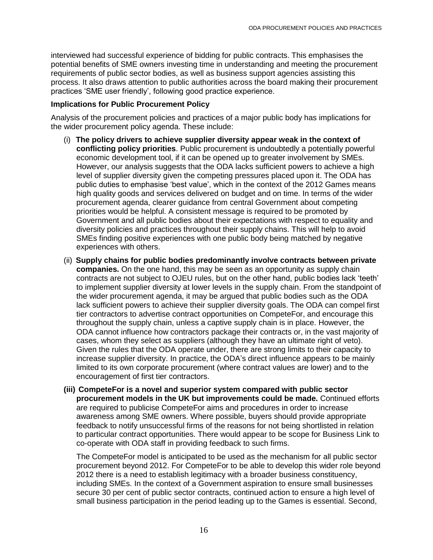interviewed had successful experience of bidding for public contracts. This emphasises the potential benefits of SME owners investing time in understanding and meeting the procurement requirements of public sector bodies, as well as business support agencies assisting this process. It also draws attention to public authorities across the board making their procurement practices 'SME user friendly', following good practice experience.

#### **Implications for Public Procurement Policy**

Analysis of the procurement policies and practices of a major public body has implications for the wider procurement policy agenda. These include:

- (i) **The policy drivers to achieve supplier diversity appear weak in the context of conflicting policy priorities**. Public procurement is undoubtedly a potentially powerful economic development tool, if it can be opened up to greater involvement by SMEs. However, our analysis suggests that the ODA lacks sufficient powers to achieve a high level of supplier diversity given the competing pressures placed upon it. The ODA has public duties to emphasise 'best value', which in the context of the 2012 Games means high quality goods and services delivered on budget and on time. In terms of the wider procurement agenda, clearer guidance from central Government about competing priorities would be helpful. A consistent message is required to be promoted by Government and all public bodies about their expectations with respect to equality and diversity policies and practices throughout their supply chains. This will help to avoid SMEs finding positive experiences with one public body being matched by negative experiences with others.
- (ii) **Supply chains for public bodies predominantly involve contracts between private companies.** On the one hand, this may be seen as an opportunity as supply chain contracts are not subject to OJEU rules, but on the other hand, public bodies lack 'teeth' to implement supplier diversity at lower levels in the supply chain. From the standpoint of the wider procurement agenda, it may be argued that public bodies such as the ODA lack sufficient powers to achieve their supplier diversity goals. The ODA can compel first tier contractors to advertise contract opportunities on CompeteFor, and encourage this throughout the supply chain, unless a captive supply chain is in place. However, the ODA cannot influence how contractors package their contracts or, in the vast majority of cases, whom they select as suppliers (although they have an ultimate right of veto). Given the rules that the ODA operate under, there are strong limits to their capacity to increase supplier diversity. In practice, the ODA's direct influence appears to be mainly limited to its own corporate procurement (where contract values are lower) and to the encouragement of first tier contractors.
- **(iii) CompeteFor is a novel and superior system compared with public sector procurement models in the UK but improvements could be made.** Continued efforts are required to publicise CompeteFor aims and procedures in order to increase awareness among SME owners. Where possible, buyers should provide appropriate feedback to notify unsuccessful firms of the reasons for not being shortlisted in relation to particular contract opportunities. There would appear to be scope for Business Link to co-operate with ODA staff in providing feedback to such firms.

The CompeteFor model is anticipated to be used as the mechanism for all public sector procurement beyond 2012. For CompeteFor to be able to develop this wider role beyond 2012 there is a need to establish legitimacy with a broader business constituency, including SMEs. In the context of a Government aspiration to ensure small businesses secure 30 per cent of public sector contracts, continued action to ensure a high level of small business participation in the period leading up to the Games is essential. Second,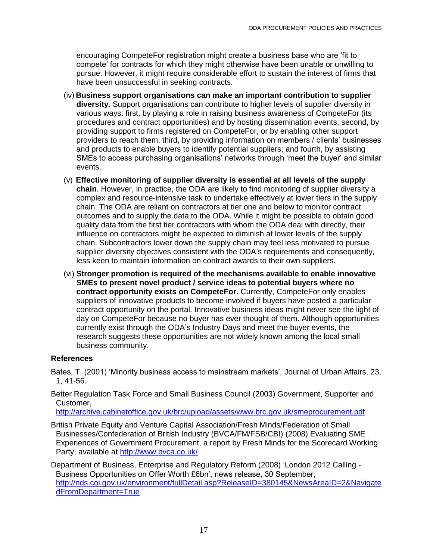encouraging CompeteFor registration might create a business base who are 'fit to compete' for contracts for which they might otherwise have been unable or unwilling to pursue. However, it might require considerable effort to sustain the interest of firms that have been unsuccessful in seeking contracts.

- (iv) **Business support organisations can make an important contribution to supplier diversity.** Support organisations can contribute to higher levels of supplier diversity in various ways: first, by playing a role in raising business awareness of CompeteFor (its procedures and contract opportunities) and by hosting dissemination events; second, by providing support to firms registered on CompeteFor, or by enabling other support providers to reach them; third, by providing information on members / clients' businesses and products to enable buyers to identify potential suppliers; and fourth, by assisting SMEs to access purchasing organisations' networks through 'meet the buyer' and similar events.
- (v) **Effective monitoring of supplier diversity is essential at all levels of the supply chain**. However, in practice, the ODA are likely to find monitoring of supplier diversity a complex and resource-intensive task to undertake effectively at lower tiers in the supply chain. The ODA are reliant on contractors at tier one and below to monitor contract outcomes and to supply the data to the ODA. While it might be possible to obtain good quality data from the first tier contractors with whom the ODA deal with directly, their influence on contractors might be expected to diminish at lower levels of the supply chain. Subcontractors lower down the supply chain may feel less motivated to pursue supplier diversity objectives consistent with the ODA's requirements and consequently, less keen to maintain information on contract awards to their own suppliers.
- (vi) **Stronger promotion is required of the mechanisms available to enable innovative SMEs to present novel product / service ideas to potential buyers where no contract opportunity exists on CompeteFor.** Currently, CompeteFor only enables suppliers of innovative products to become involved if buyers have posted a particular contract opportunity on the portal. Innovative business ideas might never see the light of day on CompeteFor because no buyer has ever thought of them. Although opportunities currently exist through the ODA's Industry Days and meet the buyer events, the research suggests these opportunities are not widely known among the local small business community.

## **References**

- Bates, T. (2001) 'Minority business access to mainstream markets', Journal of Urban Affairs, 23, 1, 41-56.
- Better Regulation Task Force and Small Business Council (2003) Government, Supporter and Customer,

<http://archive.cabinetoffice.gov.uk/brc/upload/assets/www.brc.gov.uk/smeprocurement.pdf>

British Private Equity and Venture Capital Association/Fresh Minds/Federation of Small Businesses/Confederation of British Industry (BVCA/FM/FSB/CBI) (2008) Evaluating SME Experiences of Government Procurement, a report by Fresh Minds for the Scorecard Working Party, available at<http://www.bvca.co.uk/>

Department of Business, Enterprise and Regulatory Reform (2008) 'London 2012 Calling - Business Opportunities on Offer Worth £6bn', news release, 30 September, [http://nds.coi.gov.uk/environment/fullDetail.asp?ReleaseID=380145&NewsAreaID=2&Navigate](http://nds.coi.gov.uk/environment/fullDetail.asp?ReleaseID=380145&NewsAreaID=2&NavigatedFromDepartment=True) [dFromDepartment=True](http://nds.coi.gov.uk/environment/fullDetail.asp?ReleaseID=380145&NewsAreaID=2&NavigatedFromDepartment=True)